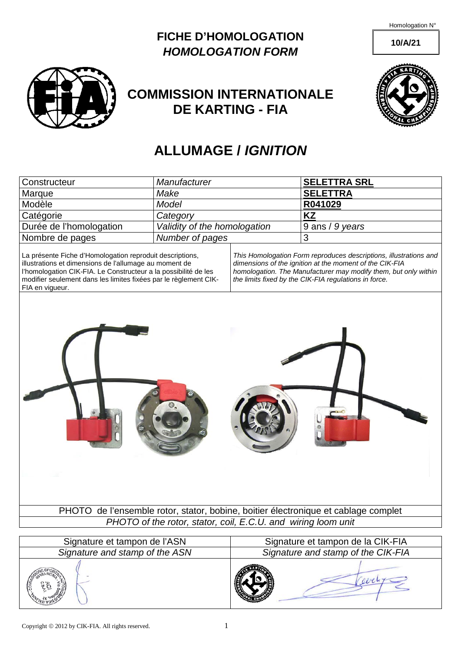Homologation N°

**10/A/21**

**FICHE D'HOMOLOGATION** *HOMOLOGATION FORM*



## **COMMISSION INTERNATIONALE DE KARTING - FIA**



## **ALLUMAGE /** *IGNITION*

| Constructeur            | Manufacturer                 | <b>SELETTRA SRL</b> |
|-------------------------|------------------------------|---------------------|
| Marque                  | Make                         | <b>SELETTRA</b>     |
| Modèle                  | Model                        | R041029             |
| Catégorie               | Category                     | KZ                  |
| Durée de l'homologation | Validity of the homologation | $9$ ans / 9 years   |
| Nombre de pages         | Number of pages              |                     |

La présente Fiche d'Homologation reproduit descriptions, illustrations et dimensions de l'allumage au moment de l'homologation CIK-FIA. Le Constructeur a la possibilité de les modifier seulement dans les limites fixées par le règlement CIK-FIA en vigueur.

*This Homologation Form reproduces descriptions, illustrations and dimensions of the ignition at the moment of the CIK-FIA homologation. The Manufacturer may modify them, but only within the limits fixed by the CIK-FIA regulations in force.*

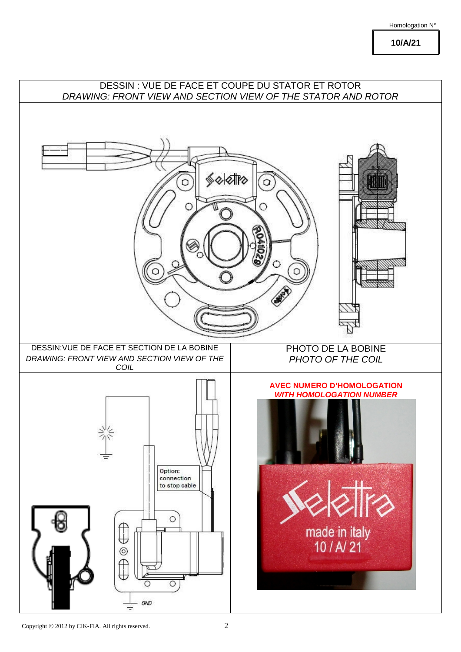## Homologation N°

**10/A/21**